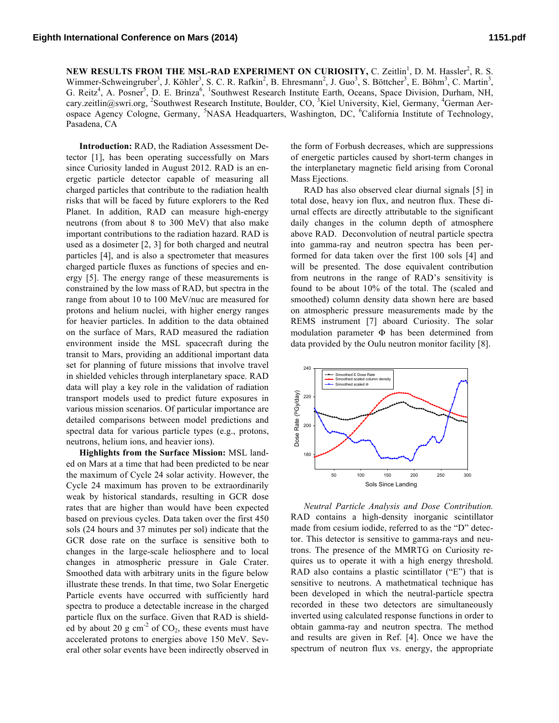NEW RESULTS FROM THE MSL-RAD EXPERIMENT ON CURIOSITY, C. Zeitlin<sup>1</sup>, D. M. Hassler<sup>2</sup>, R. S. Wimmer-Schweingruber<sup>3</sup>, J. Köhler<sup>3</sup>, S. C. R. Rafkin<sup>2</sup>, B. Ehresmann<sup>2</sup>, J. Guo<sup>3</sup>, S. Böttcher<sup>3</sup>, E. Böhm<sup>3</sup>, C. Martin<sup>3</sup>, G. Reitz<sup>4</sup>, A. Posner<sup>5</sup>, D. E. Brinza<sup>6</sup>, <sup>1</sup>Southwest Research Institute Earth, Oceans, Space Division, Durham, NH, cary.zeitlin@swri.org, <sup>2</sup>Southwest Research Institute, Boulder, CO, <sup>3</sup>Kiel University, Kiel, Germany, <sup>4</sup>German Aerospace Agency Cologne, Germany, <sup>5</sup>NASA Headquarters, Washington, DC, <sup>6</sup>California Institute of Technology, Pasadena, CA

**Introduction:** RAD, the Radiation Assessment Detector [1], has been operating successfully on Mars since Curiosity landed in August 2012. RAD is an energetic particle detector capable of measuring all charged particles that contribute to the radiation health risks that will be faced by future explorers to the Red Planet. In addition, RAD can measure high-energy neutrons (from about 8 to 300 MeV) that also make important contributions to the radiation hazard. RAD is used as a dosimeter [2, 3] for both charged and neutral particles [4], and is also a spectrometer that measures charged particle fluxes as functions of species and energy [5]. The energy range of these measurements is constrained by the low mass of RAD, but spectra in the range from about 10 to 100 MeV/nuc are measured for protons and helium nuclei, with higher energy ranges for heavier particles. In addition to the data obtained on the surface of Mars, RAD measured the radiation environment inside the MSL spacecraft during the transit to Mars, providing an additional important data set for planning of future missions that involve travel in shielded vehicles through interplanetary space. RAD data will play a key role in the validation of radiation transport models used to predict future exposures in various mission scenarios. Of particular importance are detailed comparisons between model predictions and spectral data for various particle types (e.g., protons, neutrons, helium ions, and heavier ions).

**Highlights from the Surface Mission:** MSL landed on Mars at a time that had been predicted to be near the maximum of Cycle 24 solar activity. However, the Cycle 24 maximum has proven to be extraordinarily weak by historical standards, resulting in GCR dose rates that are higher than would have been expected based on previous cycles. Data taken over the first 450 sols (24 hours and 37 minutes per sol) indicate that the GCR dose rate on the surface is sensitive both to changes in the large-scale heliosphere and to local changes in atmospheric pressure in Gale Crater. Smoothed data with arbitrary units in the figure below illustrate these trends. In that time, two Solar Energetic Particle events have occurred with sufficiently hard spectra to produce a detectable increase in the charged particle flux on the surface. Given that RAD is shielded by about 20 g  $cm<sup>-2</sup>$  of CO<sub>2</sub>, these events must have accelerated protons to energies above 150 MeV. Several other solar events have been indirectly observed in

the form of Forbush decreases, which are suppressions of energetic particles caused by short-term changes in the interplanetary magnetic field arising from Coronal Mass Ejections.

RAD has also observed clear diurnal signals [5] in total dose, heavy ion flux, and neutron flux. These diurnal effects are directly attributable to the significant daily changes in the column depth of atmosphere above RAD. Deconvolution of neutral particle spectra into gamma-ray and neutron spectra has been performed for data taken over the first 100 sols [4] and will be presented. The dose equivalent contribution from neutrons in the range of RAD's sensitivity is found to be about 10% of the total. The (scaled and smoothed) column density data shown here are based on atmospheric pressure measurements made by the REMS instrument [7] aboard Curiosity. The solar modulation parameter Φ has been determined from data provided by the Oulu neutron monitor facility [8].



*Neutral Particle Analysis and Dose Contribution.* RAD contains a high-density inorganic scintillator made from cesium iodide, referred to as the "D" detector. This detector is sensitive to gamma-rays and neutrons. The presence of the MMRTG on Curiosity requires us to operate it with a high energy threshold. RAD also contains a plastic scintillator ("E") that is sensitive to neutrons. A mathetmatical technique has been developed in which the neutral-particle spectra recorded in these two detectors are simultaneously inverted using calculated response functions in order to obtain gamma-ray and neutron spectra. The method and results are given in Ref. [4]. Once we have the spectrum of neutron flux vs. energy, the appropriate